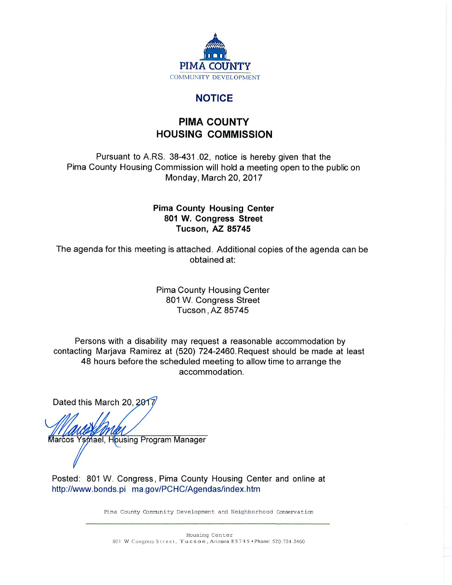

## **NOTICE**

# **PIMA COUNTY HOUSING COMMISSION**

Pursuant to A.RS. 38-431.02, notice is hereby given that the Pima County Housing Commission will hold a meeting open to the public on Monday, March 20, 2017

#### **Pima County Housing Center** 801 W. Congress Street **Tucson, AZ 85745**

The agenda for this meeting is attached. Additional copies of the agenda can be obtained at:

> **Pima County Housing Center** 801 W. Congress Street Tucson, AZ 85745

Persons with a disability may request a reasonable accommodation by contacting Marjava Ramirez at (520) 724-2460. Request should be made at least 48 hours before the scheduled meeting to allow time to arrange the accommodation.

Dated this March 20, 2017

Marcos Ysmael, Housing Program Manager

Posted: 801 W. Congress, Pima County Housing Center and online at http://www.bonds.pi ma.gov/PCHC/Agendas/index.htm

Pima County Community Development and Neighborhood Conservation